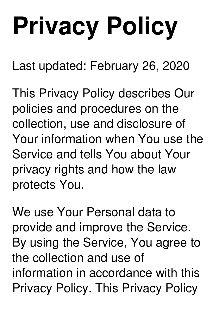## **Privacy Policy**

Last updated: February 26, 2020

This Privacy Policy describes Our policies and procedures on the collection, use and disclosure of Your information when You use the Service and tells You about Your privacy rights and how the law protects You.

We use Your Personal data to provide and improve the Service. By using the Service, You agree to the collection and use of information in accordance with this Privacy Policy. This Privacy Policy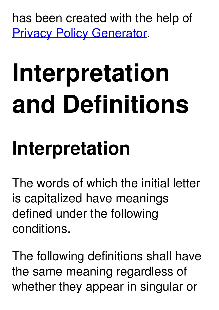has been created with the help of Privacy Policy [Generator](https://www.termsfeed.com/privacy-policy-generator/).

## **Interpretation and Definitions**

### **Interpretation**

The words of which the initial letter is capitalized have meanings defined under the following conditions.

The following definitions shall have the same meaning regardless of whether they appear in singular or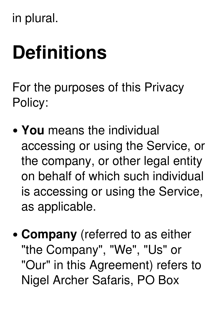in plural.

## **Definitions**

For the purposes of this Privacy Policy:

- **You** means the individual accessing or using the Service, or the company, or other legal entity on behalf of which such individual is accessing or using the Service, as applicable.
- **Company** (referred to as either "the Company" , "We" , "Us" or "Our" in this Agreement) refers to Nigel Archer Safaris, PO Box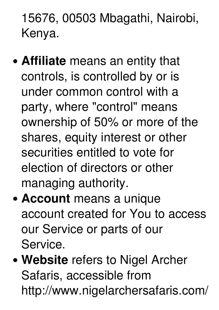15676, 00503 Mbagathi, Nairobi, Kenya.

- **Affiliate** means an entity that controls, is controlled by or is under common control with a party, where "control" means ownership of 50% or more of the shares, equity interest or other securities entitled to vote for election of directors or other managing authority.
- **Account** means a unique account created for You to access our Service or parts of our Service.
- **Website** refers to Nigel Archer Safaris, accessible from http://www.nigelarchersafaris.com/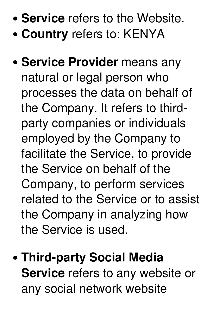- **Service** refers to the Website.
- **Country** refers to: KENYA
- **Service Provider** means any natural or legal person who processes the data on behalf of the Company. It refers to third party companies or individuals employed by the Company to facilitate the Service, to provide the Service on behalf of the Company, to perform services related to the Service or to assist the Company in analyzing how the Service is used.
- **Third-party Social Media Service** refers to any website or any social network website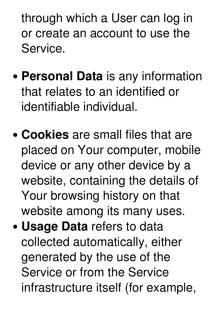through which a User can log in or create an account to use the Service.

- **Personal Data** is any information that relates to an identified or identifiable individual.
- **Cookies** are small files that are placed on Your computer, mobile device or any other device by a website, containing the details of Your browsing history on that website among its many uses.
- **Usage Data** refers to data collected automatically, either generated by the use of the Service or from the Service infrastructure itself (for example,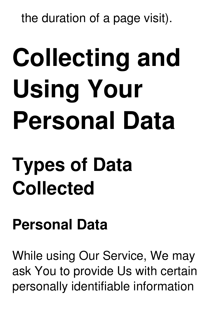the duration of a page visit).

## **Collecting and Using Your Personal Data**

### **Types of Data Collected**

#### **Personal Data**

While using Our Service, We may ask You to provide Us with certain personally identifiable information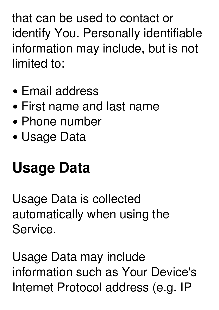that can be used to contact or identify You. Personally identifiable information may include, but is not limited to:

- Email address
- First name and last name
- Phone number
- Usage Data

#### **Usage Data**

Usage Data is collected automatically when using the Service.

Usage Data may include information such as Your Device's Internet Protocol address (e.g. IP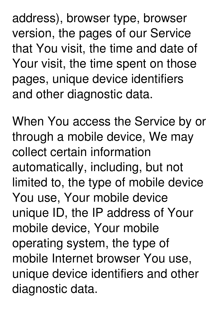address), browser type, browser version, the pages of our Service that You visit, the time and date of Your visit, the time spent on those pages, unique device identifiers and other diagnostic data.

When You access the Service by or through a mobile device, We may collect certain information automatically, including, but not limited to, the type of mobile device You use, Your mobile device unique ID, the IP address of Your mobile device, Your mobile operating system, the type of mobile Internet browser You use, unique device identifiers and other diagnostic data.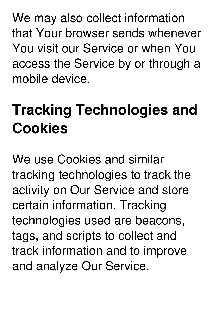We may also collect information that Your browser sends whenever You visit our Service or when You access the Service by or through a mobile device.

#### **Tracking Technologies and Cookies**

We use Cookies and similar tracking technologies to track the activity on Our Service and store certain information. Tracking technologies used are beacons, tags, and scripts to collect and track information and to improve and analyze Our Service.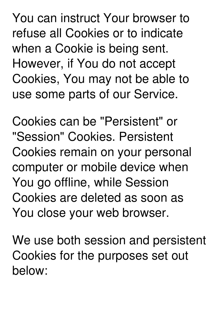You can instruct Your browser to refuse all Cookies or to indicate when a Cookie is being sent. However, if You do not accept Cookies, You may not be able to use some parts of our Service.

Cookies can be "Persistent" or "Session" Cookies. Persistent Cookies remain on your personal computer or mobile device when You go offline, while Session Cookies are deleted as soon as You close your web browser.

We use both session and persistent Cookies for the purposes set out below: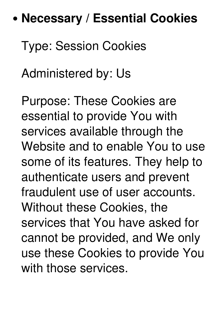#### **Necessary / Essential Cookies**

Type: Session Cookies

Administered by: Us

Purpose: These Cookies are essential to provide You with services available through the Website and to enable You to use some of its features. They help to authenticate users and prevent fraudulent use of user accounts. Without these Cookies, the services that You have asked for cannot be provided, and We only use these Cookies to provide You with those services.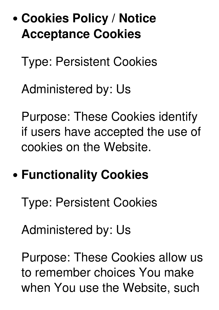#### **Cookies Policy / Notice Acceptance Cookies**

Type: Persistent Cookies

Administered by: Us

Purpose: These Cookies identify if users have accepted the use of cookies on the Website.

#### **Functionality Cookies**

Type: Persistent Cookies

Administered by: Us

Purpose: These Cookies allow us to remember choices You make when You use the Website, such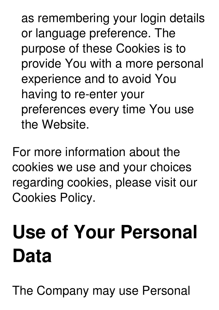as remembering your login details or language preference. The purpose of these Cookies is to provide You with a more personal experience and to avoid You having to re-enter your preferences every time You use the Website.

For more information about the cookies we use and your choices regarding cookies, please visit our Cookies Policy.

## **Use of Your Personal Data**

The Company may use Personal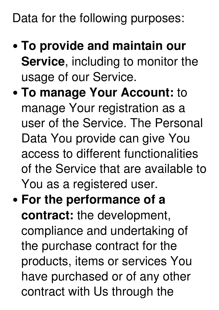Data for the following purposes:

- **To provide and maintain our Service**, including to monitor the usage of our Service.
- **To manage Your Account:** to manage Your registration as a user of the Service. The Personal Data You provide can give You access to different functionalities of the Service that are available to You as a registered user.
- **For the performance of a contract:** the development, compliance and undertaking of the purchase contract for the products, items or services You have purchased or of any other contract with Us through the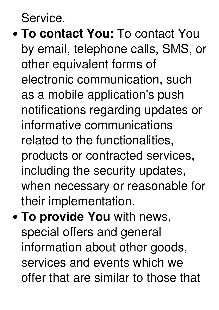Service.

- **To contact You:** To contact You by email, telephone calls, SMS, or other equivalent forms of electronic communication, such as a mobile application's push notifications regarding updates or informative communications related to the functionalities, products or contracted services, including the security updates, when necessary or reasonable for their implementation.
- **To provide You** with news, special offers and general information about other goods, services and events which we offer that are similar to those that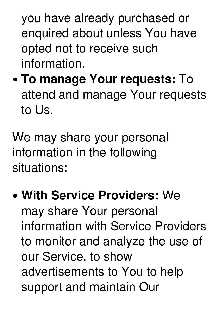you have already purchased or enquired about unless You have opted not to receive such information.

**To manage Your requests:** To attend and manage Your requests to Us.<br>We may share your personal

information in the following situations:

**With Service Providers:** We may share Your personal information with Service Providers to monitor and analyze the use of our Service, to show advertisements to You to help support and maintain Our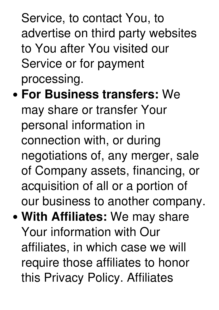Service, to contact You, to advertise on third party websites to You after You visited our Service or for payment processing.

- **For Business transfers:** We may share or transfer Your personal information in connection with, or during negotiations of, any merger, sale of Company assets, financing, or acquisition of all or a portion of our business to another company. **With Affiliates:** We may share
- Your information with Our affiliates, in which case we will require those affiliates to honor this Privacy Policy. Affiliates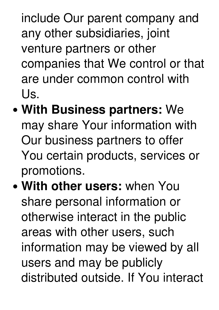include Our parent company and any other subsidiaries, joint venture partners or other companies that We control or that are under common control with Us.

**With Business partners:** We may share Your information with Our business partners to offer You certain products, services or promotions.

**With other users:** when You share personal information or otherwise interact in the public areas with other users, such information may be viewed by all users and may be publicly distributed outside. If You interact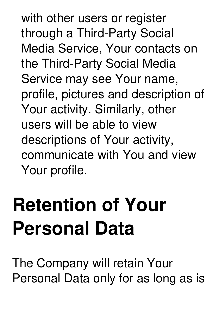with other users or register through a Third-Party Social Media Service, Your contacts on the Third-Party Social Media Service may see Your name, profile, pictures and description of Your activity. Similarly, other users will be able to view descriptions of Your activity, communicate with You and view Your profile.

### **Retention of Your Personal Data**

The Company will retain Your Personal Data only for as long as is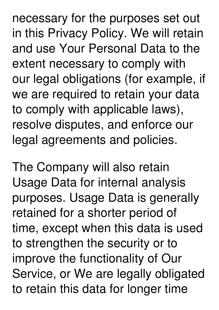necessary for the purposes set out in this Privacy Policy. We will retain and use Your Personal Data to the extent necessary to comply with our legal obligations (for example, if we are required to retain your data to comply with applicable laws), resolve disputes, and enforce our legal agreements and policies.

The Company will also retain Usage Data for internal analysis purposes. Usage Data is generally retained for a shorter period of time, except when this data is used to strengthen the security or to improve the functionality of Our Service, or We are legally obligated to retain this data for longer time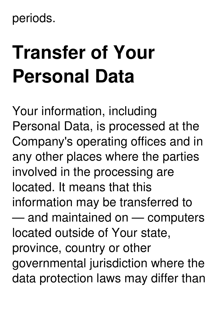periods.

### **Transfer of Your Personal Data**

Your information, including Personal Data, is processed at the Company's operating offices and in any other places where the parties involved in the processing are located. It means that this information may be transferred to — and maintained on — computers located outside of Your state, province, country or other governmental jurisdiction where the data protection laws may differ than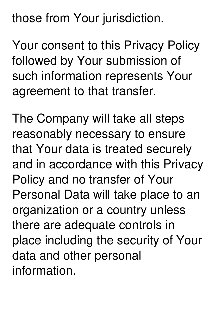those from Your jurisdiction.

Your consent to this Privacy Policy followed by Your submission of such information represents Your agreement to that transfer.

The Company will take all steps reasonably necessary to ensure that Your data is treated securely and in accordance with this Privacy Policy and no transfer of Your Personal Data will take place to an organization or a country unless there are adequate controls in place including the security of Your data and other personal information.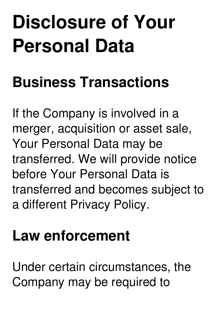## **Disclosure of Your Personal Data**

#### **Business Transactions**

If the Company is involved in a merger, acquisition or asset sale, Your Personal Data may be transferred. We will provide notice before Your Personal Data is transferred and becomes subject to a different Privacy Policy.

#### **Law enforcement**

Under certain circumstances, the Company may be required to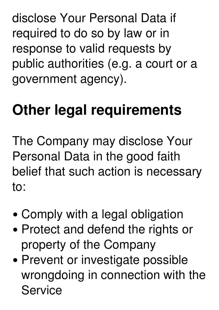disclose Your Personal Data if required to do so by law or in response to valid requests by public authorities (e.g. a court or a government agency).

### **Other legal requirements**

The Company may disclose Your Personal Data in the good faith belief that such action is necessary to:

- Comply with a legal obligation
- Protect and defend the rights or property of the Company
- Prevent or investigate possible wrongdoing in connection with the **Service**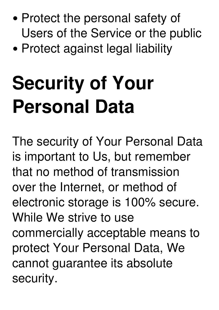- Protect the personal safety of Users of the Service or the public
- Protect against legal liability

## **Security of Your Personal Data**

The security of Your Personal Data is important to Us, but remember that no method of transmission over the Internet, or method of electronic storage is 100% secure. While We strive to use commercially acceptable means to protect Your Personal Data, We cannot guarantee its absolute security.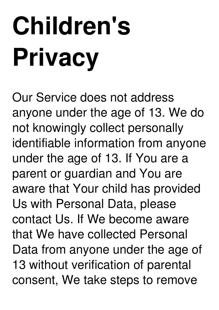# **Children's Privacy**

Our Service does not address anyone under the age of 13. We do not knowingly collect personally identifiable information from anyone under the age of 13. If You are a parent or guardian and You are aware that Your child has provided Us with Personal Data, please contact Us. If We become aware that We have collected Personal Data from anyone under the age of 13 without verification of parental consent, We take steps to remove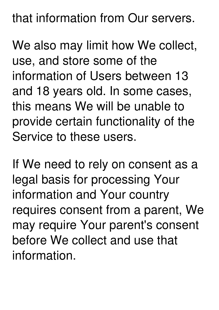that information from Our servers.

We also may limit how We collect, use, and store some of the information of Users between 13 and 18 years old. In some cases, this means We will be unable to provide certain functionality of the Service to these users.

If We need to rely on consent as a legal basis for processing Your information and Your country requires consent from a parent, We may require Your parent's consent before We collect and use that information.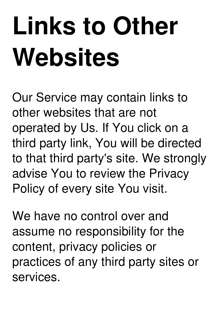## **Links to Other Websites**

Our Service may contain links to other websites that are not operated by Us. If You click on a third party link, You will be directed to that third party's site. We strongly advise You to review the Privacy Policy of every site You visit.

We have no control over and assume no responsibility for the content, privacy policies or practices of any third party sites or services.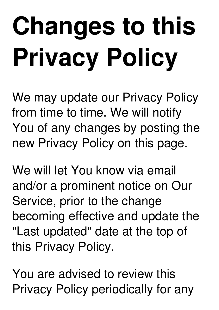# **Changes to this Privacy Policy**

We may update our Privacy Policy from time to time. We will notify You of any changes by posting the new Privacy Policy on this page.

We will let You know via email and/or a prominent notice on Our Service, prior to the change becoming effective and update the "Last updated" date at the top of this Privacy Policy.

You are advised to review this Privacy Policy periodically for any